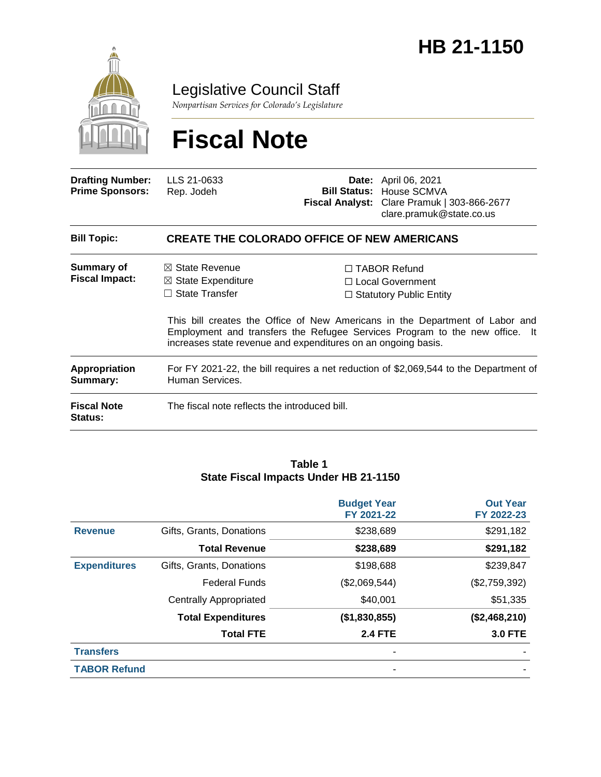

Legislative Council Staff

*Nonpartisan Services for Colorado's Legislature*

# **Fiscal Note**

| <b>Drafting Number:</b><br><b>Prime Sponsors:</b> | LLS 21-0633<br>Rep. Jodeh                                                                                                                                                 |  | <b>Date:</b> April 06, 2021<br><b>Bill Status: House SCMVA</b><br>Fiscal Analyst: Clare Pramuk   303-866-2677<br>clare.pramuk@state.co.us                                                                                                       |  |  |
|---------------------------------------------------|---------------------------------------------------------------------------------------------------------------------------------------------------------------------------|--|-------------------------------------------------------------------------------------------------------------------------------------------------------------------------------------------------------------------------------------------------|--|--|
| <b>Bill Topic:</b>                                | <b>CREATE THE COLORADO OFFICE OF NEW AMERICANS</b>                                                                                                                        |  |                                                                                                                                                                                                                                                 |  |  |
| <b>Summary of</b><br><b>Fiscal Impact:</b>        | $\boxtimes$ State Revenue<br>$\boxtimes$ State Expenditure<br>$\Box$ State Transfer                                                                                       |  | $\Box$ TABOR Refund<br>$\Box$ Local Government<br>$\Box$ Statutory Public Entity<br>This bill creates the Office of New Americans in the Department of Labor and<br>Employment and transfers the Refugee Services Program to the new office. It |  |  |
| <b>Appropriation</b><br>Summary:                  | increases state revenue and expenditures on an ongoing basis.<br>For FY 2021-22, the bill requires a net reduction of \$2,069,544 to the Department of<br>Human Services. |  |                                                                                                                                                                                                                                                 |  |  |
| <b>Fiscal Note</b><br><b>Status:</b>              | The fiscal note reflects the introduced bill.                                                                                                                             |  |                                                                                                                                                                                                                                                 |  |  |

#### **Table 1 State Fiscal Impacts Under HB 21-1150**

|                     |                               | <b>Budget Year</b><br>FY 2021-22 | <b>Out Year</b><br>FY 2022-23 |
|---------------------|-------------------------------|----------------------------------|-------------------------------|
| <b>Revenue</b>      | Gifts, Grants, Donations      | \$238,689                        | \$291,182                     |
|                     | <b>Total Revenue</b>          | \$238,689                        | \$291,182                     |
| <b>Expenditures</b> | Gifts, Grants, Donations      | \$198,688                        | \$239,847                     |
|                     | <b>Federal Funds</b>          | (\$2,069,544)                    | (\$2,759,392)                 |
|                     | <b>Centrally Appropriated</b> | \$40,001                         | \$51,335                      |
|                     | <b>Total Expenditures</b>     | (\$1,830,855)                    | (\$2,468,210)                 |
|                     | <b>Total FTE</b>              | <b>2.4 FTE</b>                   | <b>3.0 FTE</b>                |
| <b>Transfers</b>    |                               |                                  |                               |
| <b>TABOR Refund</b> |                               |                                  |                               |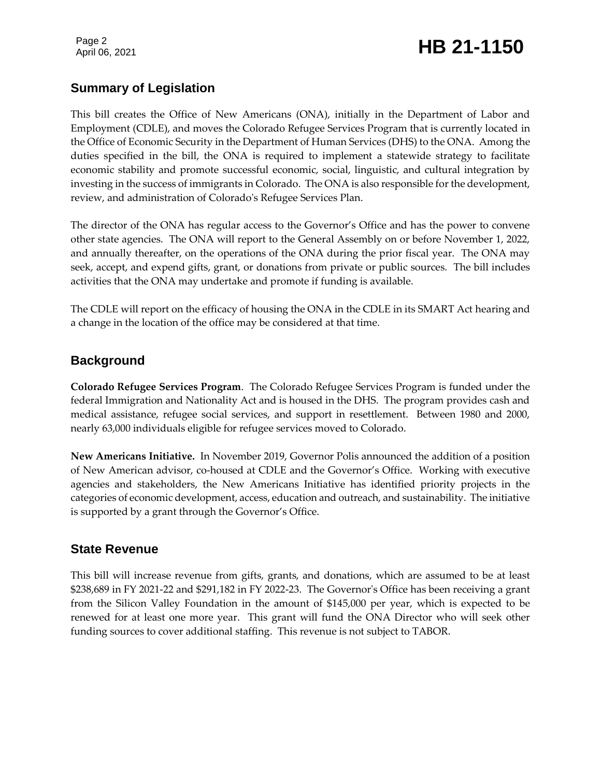Page 2

# Page 2<br>April 06, 2021 **HB 21-1150**

### **Summary of Legislation**

This bill creates the Office of New Americans (ONA), initially in the Department of Labor and Employment (CDLE), and moves the Colorado Refugee Services Program that is currently located in the Office of Economic Security in the Department of Human Services (DHS) to the ONA. Among the duties specified in the bill, the ONA is required to implement a statewide strategy to facilitate economic stability and promote successful economic, social, linguistic, and cultural integration by investing in the success of immigrants in Colorado. The ONA is also responsible for the development, review, and administration of Colorado's Refugee Services Plan.

The director of the ONA has regular access to the Governor's Office and has the power to convene other state agencies. The ONA will report to the General Assembly on or before November 1, 2022, and annually thereafter, on the operations of the ONA during the prior fiscal year. The ONA may seek, accept, and expend gifts, grant, or donations from private or public sources. The bill includes activities that the ONA may undertake and promote if funding is available.

The CDLE will report on the efficacy of housing the ONA in the CDLE in its SMART Act hearing and a change in the location of the office may be considered at that time.

#### **Background**

**Colorado Refugee Services Program**. The Colorado Refugee Services Program is funded under the federal Immigration and Nationality Act and is housed in the DHS. The program provides cash and medical assistance, refugee social services, and support in resettlement. Between 1980 and 2000, nearly 63,000 individuals eligible for refugee services moved to Colorado.

**New Americans Initiative.** In November 2019, Governor Polis announced the addition of a position of New American advisor, co-housed at CDLE and the Governor's Office. Working with executive agencies and stakeholders, the New Americans Initiative has identified priority projects in the categories of economic development, access, education and outreach, and sustainability. The initiative is supported by a grant through the Governor's Office.

#### **State Revenue**

This bill will increase revenue from gifts, grants, and donations, which are assumed to be at least \$238,689 in FY 2021-22 and \$291,182 in FY 2022-23. The Governor's Office has been receiving a grant from the Silicon Valley Foundation in the amount of \$145,000 per year, which is expected to be renewed for at least one more year. This grant will fund the ONA Director who will seek other funding sources to cover additional staffing. This revenue is not subject to TABOR.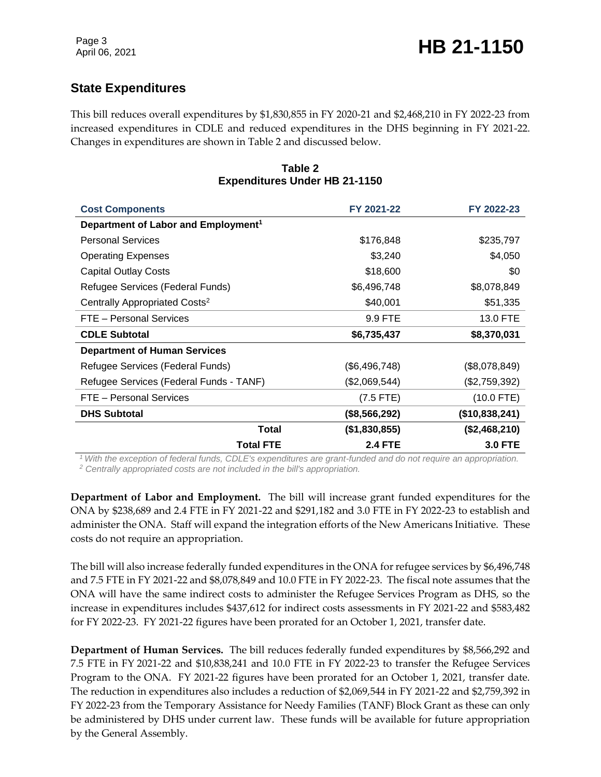## **State Expenditures**

This bill reduces overall expenditures by \$1,830,855 in FY 2020-21 and \$2,468,210 in FY 2022-23 from increased expenditures in CDLE and reduced expenditures in the DHS beginning in FY 2021-22. Changes in expenditures are shown in Table 2 and discussed below.

| <b>Cost Components</b>                          | FY 2021-22     | FY 2022-23     |
|-------------------------------------------------|----------------|----------------|
| Department of Labor and Employment <sup>1</sup> |                |                |
| <b>Personal Services</b>                        | \$176,848      | \$235,797      |
| <b>Operating Expenses</b>                       | \$3,240        | \$4,050        |
| <b>Capital Outlay Costs</b>                     | \$18,600       | \$0            |
| Refugee Services (Federal Funds)                | \$6,496,748    | \$8,078,849    |
| Centrally Appropriated Costs <sup>2</sup>       | \$40,001       | \$51,335       |
| FTE - Personal Services                         | 9.9 FTE        | 13.0 FTE       |
| <b>CDLE Subtotal</b>                            | \$6,735,437    | \$8,370,031    |
| <b>Department of Human Services</b>             |                |                |
| Refugee Services (Federal Funds)                | (\$6,496,748)  | (\$8,078,849)  |
| Refugee Services (Federal Funds - TANF)         | (\$2,069,544)  | (\$2,759,392)  |
| FTE - Personal Services                         | $(7.5$ FTE)    | $(10.0$ FTE)   |
| <b>DHS Subtotal</b>                             | (\$8,566,292)  | (\$10,838,241) |
| <b>Total</b>                                    | (\$1,830,855)  | (\$2,468,210)  |
| <b>Total FTE</b>                                | <b>2.4 FTE</b> | <b>3.0 FTE</b> |

#### **Table 2 Expenditures Under HB 21-1150**

*<sup>1</sup>With the exception of federal funds, CDLE's expenditures are grant-funded and do not require an appropriation.* 

*<sup>2</sup> Centrally appropriated costs are not included in the bill's appropriation.*

**Department of Labor and Employment.** The bill will increase grant funded expenditures for the ONA by \$238,689 and 2.4 FTE in FY 2021-22 and \$291,182 and 3.0 FTE in FY 2022-23 to establish and administer the ONA. Staff will expand the integration efforts of the New Americans Initiative. These costs do not require an appropriation.

The bill will also increase federally funded expenditures in the ONA for refugee services by \$6,496,748 and 7.5 FTE in FY 2021-22 and \$8,078,849 and 10.0 FTE in FY 2022-23. The fiscal note assumes that the ONA will have the same indirect costs to administer the Refugee Services Program as DHS, so the increase in expenditures includes \$437,612 for indirect costs assessments in FY 2021-22 and \$583,482 for FY 2022-23. FY 2021-22 figures have been prorated for an October 1, 2021, transfer date.

**Department of Human Services.** The bill reduces federally funded expenditures by \$8,566,292 and 7.5 FTE in FY 2021-22 and \$10,838,241 and 10.0 FTE in FY 2022-23 to transfer the Refugee Services Program to the ONA. FY 2021-22 figures have been prorated for an October 1, 2021, transfer date. The reduction in expenditures also includes a reduction of \$2,069,544 in FY 2021-22 and \$2,759,392 in FY 2022-23 from the Temporary Assistance for Needy Families (TANF) Block Grant as these can only be administered by DHS under current law. These funds will be available for future appropriation by the General Assembly.